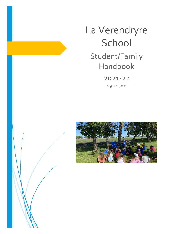# La Verendryre School Student/Family Handbook

# 2021-22

August 26, 2021



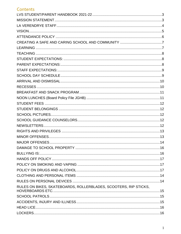# Contents

| RULES ON BIKES, SKATEBOARDS, ROLLERBLADES, SCOOTERS, RIP STICKS, |  |
|------------------------------------------------------------------|--|
|                                                                  |  |
|                                                                  |  |
|                                                                  |  |
|                                                                  |  |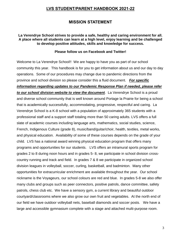# **LVS STUDENT/PARENT HANDBOOK 2021-22**

# **MISSION STATEMENT**

#### <span id="page-3-1"></span><span id="page-3-0"></span>**La Verendrye School strives to provide a safe, healthy and caring environment for all. A place where all students can learn at a high level, enjoy learning and be challenged to develop positive attitudes, skills and knowledge for success.**

#### **Please follow us on Facebook and Twitter!**

Welcome to La Verendrye School!! We are happy to have you as part of our school community this year. This handbook is for you to get information about us and our day to day operations. Some of our procedures may change due to pandemic directions from the province and school division so please consider this a fluid document. *For specific information regarding updates to our Pandemic Response Plan if needed, please refer to our school division website to view the document*. La Verendrye School is a proud and diverse school community that is well known around Portage la Prairie for being a school that is academically successfully, accommodating, progressive, respectful and caring. La Verendrye School is a K-8 school with a population of approximately 365 students with a professional staff and a support staff totaling more than 50 caring adults. LVS offers a full slate of academic courses including language arts, mathematics, social studies, science, French, Indigenous Culture (grade 8), music/band/guitar/choir, health, textiles, metal works, and physical education. Availability of some of these courses depends on the grade of your child. LVS has a national award winning physical education program that offers many programs and opportunities for our students. LVS offers an intramural sports program for grades 2 to 8 during noon hours and in grades 5- 8, we participate in school division crosscountry running and track and field. In grades 7 & 8 we participate in organized school division leagues in volleyball, soccer, curling, basketball, and badminton. Many other opportunities for extracurricular enrichment are available throughout the year. Our school nickname is the Voyageurs, our school colours are red and blue. In grades 5-8 we also offer many clubs and groups such as peer connectors, positive patrols, dance committee, safety patrols, chess club etc. We have a sensory gym, a current library and beautiful outdoor courtyard/classrooms where we also grow our own fruit and vegetables. At the north end of our field we have outdoor volleyball nets, baseball diamonds and soccer posts. We have a large and accessible gymnasium complete with a stage and attached multi-purpose room.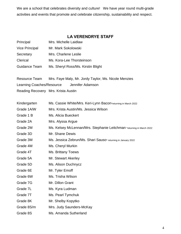We are a school that celebrates diversity and culture! We have year round multi-grade activities and events that promote and celebrate citizenship, sustainability and respect.

# **LA VERENDRYE STAFF**

<span id="page-4-0"></span>

| Principal             | Mrs. Michelle Laidlaw              |
|-----------------------|------------------------------------|
| <b>Vice Principal</b> | Mr. Mark Sokolowski                |
| Secretary             | Mrs. Charlene Leslie               |
| Clerical              | Ms. Kora-Lee Thorsteinson          |
| Guidance Team         | Ms. Sheryl Ross/Ms. Kirstin Blight |

| Resource Team                       |                  | Mrs. Faye Maly, Mr. Jordy Taylor, Ms. Nicole Menzies |
|-------------------------------------|------------------|------------------------------------------------------|
| Learning Coaches/Resource           | Jennifer Adamson |                                                      |
| Reading Recovery Mrs. Krista Austin |                  |                                                      |

| Kindergarten | Ms. Cassie White/Mrs. Keri-Lynn Bacon*returning in March 2022         |
|--------------|-----------------------------------------------------------------------|
| Grade 1A/W   | Mrs. Krista Austin/Ms. Jessica Wilson                                 |
| Grade 1 B    | Ms. Alicia Bueckert                                                   |
| Grade 2A     | Mrs. Alyssa Argue                                                     |
| Grade 2M     | Ms. Kelsey McLennan/Mrs. Stephanie Leitchman *returning in March 2022 |
| Grade 3D     | Mr. Shane Dewis                                                       |
| Grade 3M     | Ms. Jessica Zebrun/Ms. Shari Sauso* returning in January 2022         |
| Grade 4M     | Ms. Cheryl Murkin                                                     |
| Grade 4T     | Ms. Brittany Toews                                                    |
| Grade 5A     | Mr. Stewart Akerley                                                   |
| Grade 5D     | Ms. Alison Duchnycz                                                   |
| Grade 6E     | Mr. Tyler Emoff                                                       |
| Grade 6W     | Ms. Trisha Wilson                                                     |
| Grade 7G     | Mr. Dillon Grant                                                      |
| Grade 7L     | Ms. Kyra Ludman                                                       |
| Grade 7T     | Ms. Pearl Tymchuk                                                     |
| Grade 8K     | Mr. Shelby Kopytko                                                    |
| Grade 8S/m   | Mrs. Judy Saunders-McKay                                              |
| Grade 8S     | Ms. Amanda Sutherland                                                 |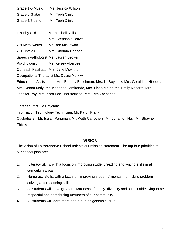| Grade 1-5 Music                                               | Ms. Jessica Wilson                                                                         |  |
|---------------------------------------------------------------|--------------------------------------------------------------------------------------------|--|
| Grade 6 Guitar                                                | Mr. Teph Clink                                                                             |  |
| Grade 7/8 band                                                | Mr. Teph Clink                                                                             |  |
|                                                               |                                                                                            |  |
| 1-8 Phys Ed                                                   | Mr. Mitchell Nelissen                                                                      |  |
|                                                               | Mrs. Stephanie Brown                                                                       |  |
| 7-8 Metal works                                               | Mr. Ben McGowan                                                                            |  |
| 7-8 Textiles                                                  | Mrs. Rhonda Hannah                                                                         |  |
|                                                               | Speech Pathologist Ms. Lauren Becker                                                       |  |
| Psychologist                                                  | Ms. Kelsey Aberdeen                                                                        |  |
|                                                               | <b>Outreach Facilitator Mrs. Jane McArthur</b>                                             |  |
|                                                               | Occupational Therapist Ms. Dayna Yurkiw                                                    |  |
|                                                               | Educational Assistants – Mrs. Brittany Boschman, Mrs. Ila Boychuk, Mrs. Geraldine Hiebert, |  |
|                                                               | Mrs. Donna Maly, Ms. Kenadee Lamirande, Mrs. Linda Meier, Ms. Emily Roberts, Mrs.          |  |
| Jennifer Roy, Mrs. Kora-Lee Thorsteinson, Mrs. Rita Zacharias |                                                                                            |  |
|                                                               |                                                                                            |  |

Librarian: Mrs. Ila Boychuk Information Technology Technician: Mr. Katon Frank Custodians Mr. Isaiah Pangman, Mr. Keith Carrothers, Mr. Jonathon Hay, Mr. Shayne **Thistle** 

## **VISION**

<span id="page-5-0"></span>The vision of La Verendrye School reflects our mission statement. The top four priorities of our school plan are:

- 1. Literacy Skills: with a focus on improving student reading and writing skills in all curriculum areas.
- 2. Numeracy Skills: with a focus on improving students' mental math skills problem solving and reasoning skills.
- 3. All students will have greater awareness of equity, diversity and sustainable living to be respectful and contributing members of our community.
- 4. All students will learn more about our Indigenous culture.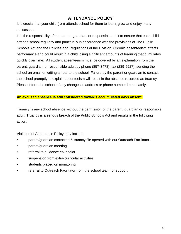# **ATTENDANCE POLICY**

<span id="page-6-0"></span>It is crucial that your child (ren) attends school for them to learn, grow and enjoy many successes.

It is the responsibility of the parent, guardian, or responsible adult to ensure that each child attends school regularly and punctually in accordance with the provisions of The Public Schools Act and the Policies and Regulations of the Division. Chronic absenteeism affects performance and could result in a child losing significant amounts of learning that cumulates quickly over time. All student absenteeism must be covered by an explanation from the parent, guardian, or responsible adult by phone (857-3478), fax (239-5927), sending the school an email or writing a note to the school. Failure by the parent or guardian to contact the school promptly to explain absenteeism will result in the absence recorded as truancy. Please inform the school of any changes in address or phone number immediately.

#### **An excused absence is still considered towards accumulated days absent.**

Truancy is any school absence without the permission of the parent, guardian or responsible adult. Truancy is a serious breach of the Public Schools Act and results in the following action:

Violation of Attendance Policy may include

- parent/guardian contacted & truancy file opened with our Outreach Facilitator.
- parent/guardian meeting
- referral to guidance counselor
- suspension from extra-curricular activities
- students placed on monitoring
- referral to Outreach Facilitator from the school team for support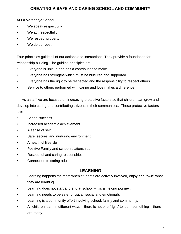# **CREATING A SAFE AND CARING SCHOOL AND COMMUNITY**

<span id="page-7-0"></span>At La Verendrye School

- We speak respectfully
- We act respectfully
- We respect property
- We do our best

Four principles guide all of our actions and interactions. They provide a foundation for relationship building. The guiding principles are:

- Everyone is unique and has a contribution to make.
- Everyone has strengths which must be nurtured and supported.
- Everyone has the right to be respected and the responsibility to respect others.
- Service to others performed with caring and love makes a difference.

 As a staff we are focused on increasing protective factors so that children can grow and develop into caring and contributing citizens in their communities. These protective factors are:

- School success
- Increased academic achievement
- A sense of self
- Safe, secure, and nurturing environment
- A healthful lifestyle
- Positive Family and school relationships
- Respectful and caring relationships
- <span id="page-7-1"></span>• Connection to caring adults

# **LEARNING**

- Learning happens the most when students are actively involved, enjoy and "own" what they are learning.
- Learning does not start and end at school it is a lifelong journey.
- Learning needs to be safe (physical, social and emotional).
- Learning is a community effort involving school, family and community.
- All children learn in different ways there is not one "right" to learn something there are many.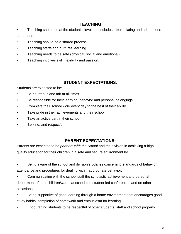# **TEACHING**

- <span id="page-8-0"></span>• Teaching should be at the students' level and includes differentiating and adaptations as needed.
- Teaching should be a shared process.
- Teaching starts and nurtures learning.
- Teaching needs to be safe (physical, social and emotional).
- Teaching involves skill, flexibility and passion.

# **STUDENT EXPECTATIONS:**

<span id="page-8-1"></span>Students are expected to be:

- Be courteous and fair at all times.
- Be responsible for their learning, behavior and personal belongings.
- Complete their school work every day to the best of their ability.
- Take pride in their achievements and their school.
- Take an active part in their school.
- Be kind, and respectful.

# **PARENT EXPECTATIONS:**

<span id="page-8-2"></span>Parents are expected to be *partners with the school* and the division in achieving a high quality education for their children in a safe and secure environment by:

- Being aware of the school and division's policies concerning standards of behavior, attendance and procedures for dealing with inappropriate behavior.
- Communicating with the school staff the scholastic achievement and personal deportment of their children/wards at scheduled student-led conferences and on other occasions.
- Being supportive of good learning through a home environment that encourages good study habits, completion of homework and enthusiasm for learning.
- Encouraging students to be respectful of other students, staff and school property.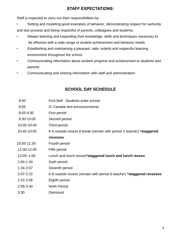# **STAFF EXPECTATIONS:**

<span id="page-9-0"></span>Staff is expected to carry out their responsibilities by:

• Setting and modeling good examples of behavior, demonstrating respect for authority and due process and being respectful of parents, colleagues and students.

- Always learning and expanding their knowledge, skills and techniques necessary to be effective with a wide range of student achievement and behavior needs.
- Establishing and maintaining a pleasant, safe, orderly and respectful learning environment throughout the school.
- Communicating information about student progress and achievement to students and parents.
- <span id="page-9-1"></span>• Communicating and sharing information with staff and administration.

# **SCHOOL DAY SCHEDULE**

| 8:40          | First Bell - Students enter school                                            |
|---------------|-------------------------------------------------------------------------------|
| 8:55          | O' Canada and announcements                                                   |
| 8:55-9:30     | First period                                                                  |
| 9:30-10:05    | Second period                                                                 |
| 10:05-10:40   | Third period                                                                  |
| 10:40-10:55   | K-6 outside recess 8 break (remain with period 3 teacher) *staggered          |
|               | <b>recesses</b>                                                               |
| 10:55-11:30   | Fourth period                                                                 |
| 11:30-12:05   | Fifth period                                                                  |
| 12:05-1:00    | Lunch and lunch recess*staggered lunch and lunch recess                       |
| $1:00-1:34$   | Sixth period                                                                  |
| $1:34-2:07$   | Seventh period                                                                |
| $2:07 - 2:22$ | K-8 outside recess (remain with period 6 teacher) * <b>staggered recesses</b> |
| $2:22 - 2:56$ | Eighth period                                                                 |
| 2:56-3:30     | <b>Ninth Period</b>                                                           |
| 3:30          | <b>Dismissal</b>                                                              |
|               |                                                                               |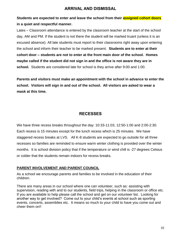# **ARRIVAL AND DISMISSAL**

# <span id="page-10-0"></span>**Students are expected to enter and leave the school from their assigned cohort doors in a quiet and respectful manner.**

Lates – Classroom attendance is entered by the classroom teacher at the start of the school day, AM and PM. If the student is not there the student will be marked truant (unless it is an excused absence). All late students must report to their classrooms right away upon entering the school and inform their teacher to be marked present. **Students are to enter at their cohort door – students are not to enter at the front main door of the school. Homes maybe called if the student did not sign in and the office is not aware they are in school.** Students are considered late for school is they arrive after 9:00 and 1:00.

**Parents and visitors must make an appointment with the school in advance to enter the school. Visitors will sign in and out of the school. All visitors are asked to wear a mask at this time.** 

# **RECESSES**

<span id="page-10-1"></span>We have three recess breaks throughout the day: 10:33-11:03, 12:50-1:00 and 2:00-2:30. Each recess is 15 minutes except for the lunch recess which is 25 minutes. We have staggered recess breaks at LVS. All K-8 students are expected to go outside for all three recesses so families are reminded to ensure warm winter clothing is provided over the winter months. It is school division policy that if the temperature or wind chill is -27 degrees Celsius or colder that the students remain indoors for recess breaks.

## **PARENT INVOLVEMENT AND PARENT COUNCIL**

As a school we encourage parents and families to be involved in the education of their children.

There are many areas in our school where one can volunteer, such as: assisting with supervision, reading with and to our students, field trips, helping in the classroom or office etc. If you are available to help please call the school and get on our volunteer list. Looking for another way to get involved? Come out to your child's events at school such as sporting events, concerts, assemblies etc. It means so much to your child to have you come out and cheer them on!!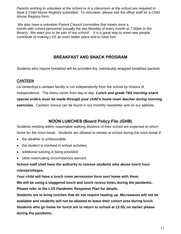*Parents wishing to volunteer at the school or in a classroom at the school are required to have a Child Abuse Registry submitted*. To volunteer, please see the office staff for a Child Abuse Registry form.

We also have a *volunteer Parent Council committee* that meets once a month with school personnel (usually the last Monday of every month at 7:00pm in the library). We want you to be part of our school! It is a great way to meet new people, contribute to making LVS an even better place and to have fun!

# **BREAKFAST AND SNACK PROGRAM**

<span id="page-11-0"></span>Students who require breakfast will be provided dry, individually wrapped breakfast packets

## **CANTEEN**

La Verendrye's canteen facility is run independently from the school by Visions of Independence. The menu varies from day to day. *Lunch and grade 7&8 morning snack special orders must be made through your child's home room teacher during morning exercises.* Canteen menus can be found in our monthly newsletter and on our website.

# **NOON LUNCHES (Board Policy File JGHB)**

<span id="page-11-1"></span>Students residing within reasonable walking distance of their school are expected to return home for the noon break. Students are allowed to remain at school during the noon break if:

- the weather is unfavourable;
- the student is involved in school activities;
- additional tutoring is being provided;
- other extenuating circumstances warrant.

**School staff shall have the authority to remove students who abuse lunch hour rules/privileges.**

**Your child will have a lunch room permission form sent home with them.**

**We will be using a staggered lunch and lunch recess times during the pandemic. Please refer to the LVS Pandemic Response Plan for details.**

**Students are to bring lunches that do not require heating up. Microwaves will not be available and students will not be allowed to leave their cohort area during lunch. Students who go home for lunch are to return to school at 12:55, no earlier please during the pandemic.**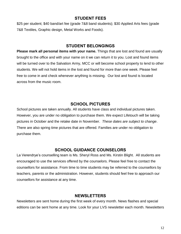## **STUDENT FEES**

<span id="page-12-0"></span>\$25 per student; \$40 band/art fee (grade 7&8 band students); \$30 Applied Arts fees (grade 7&8 Textiles, Graphic design, Metal Works and Foods).

## **STUDENT BELONGINGS**

<span id="page-12-1"></span>**Please mark all personal items with your name.** Things that are lost and found are usually brought to the office and with your name on it we can return it to you. Lost and found items will be turned over to the Salvation Army, MCC or will become school property to lend to other students. We will not hold items in the lost and found for more than one week. Please feel free to come in and check whenever anything is missing. Our lost and found is located across from the music room.

# **SCHOOL PICTURES**

<span id="page-12-2"></span>School pictures are taken annually. All students have class and individual pictures taken. However, you are under no obligation to purchase them. We expect Lifetouch will be taking pictures in October and the retake date in November. *These dates are subject to change*. There are also spring time pictures that are offered. Families are under no obligation to purchase them.

# **SCHOOL GUIDANCE COUNSELORS**

<span id="page-12-3"></span>La Verendrye's counselling team is Ms. Sheryl Ross and Ms. Kirstin Blight. All students are encouraged to use the services offered by the counselors. Please feel free to contact the counsellors for assistance. From time to time students may be referred to the counsellors by teachers, parents or the administration. However, students should feel free to approach our counsellors for assistance at any time.

## **NEWSLETTERS**

<span id="page-12-4"></span>Newsletters are sent home during the first week of every month. News flashes and special editions can be sent home at any time. Look for your LVS newsletter each month. Newsletters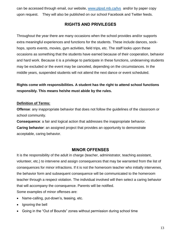<span id="page-13-0"></span>can be accessed through email, our website, [www.plpsd.mb.ca/lvs](http://www.plpsd.mb.ca/lvs) and/or by paper copy upon request. They will also be published on our school Facebook and Twitter feeds.

# **RIGHTS AND PRIVILEGES**

Throughout the year there are many occasions when the school provides and/or supports extra meaningful experiences and functions for the students. These include dances, sockhops, sports events, movies, gym activities, field trips, etc. The staff looks upon these occasions as something that the students have earned because of their cooperation, behavior and hard work. Because it is a privilege to participate in these functions, undeserving students may be excluded or the event may be canceled, depending on the circumstances. In the middle years, suspended students will not attend the next dance or event scheduled.

**Rights come with responsibilities. A student has the right to attend school functions responsibly. This means he/she must abide by the rules.**

#### **Definition of Terms:**

**Offense**: any inappropriate behavior that does not follow the guidelines of the classroom or school community.

**Consequence**: a fair and logical action that addresses the inappropriate behavior. **Caring behavior**: an assigned project that provides an opportunity to demonstrate acceptable, caring behavior.

## **MINOR OFFENSES**

<span id="page-13-1"></span>It is the responsibility of the adult in charge (teacher, administrator, teaching assistant, volunteer, etc.) to intervene and assign consequences that may be warranted from the list of consequences for minor infractions. If it is not the homeroom teacher who initially intervenes, the behavior form and subsequent consequence will be communicated to the homeroom teacher through a respect violation. The individual involved will then select a caring behavior that will accompany the consequence. Parents will be notified. Some examples of minor offenses are:

- Name-calling, put-down's, teasing, etc.
- Ignoring the bell
- Going in the "Out of Bounds" zones without permission during school time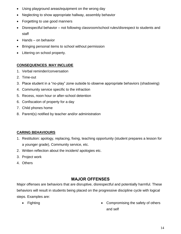- Using playground areas/equipment on the wrong day
- Neglecting to show appropriate hallway, assembly behavior
- Forgetting to use good manners
- Disrespectful behavior not following classroom/school rules/disrespect to students and staff
- Hands on behavior
- Bringing personal items to school without permission
- Littering on school property.

## **CONSEQUENCES MAY INCLUDE**

- 1. Verbal reminder/conversation
- 2. Time-out
- 3. Place student in a "no-play" zone outside to observe appropriate behaviors (shadowing)
- 4. Community service specific to the infraction
- 5. Recess, noon hour or after-school detention
- 6. Confiscation of property for a day
- 7. Child phones home
- 8. Parent(s) notified by teacher and/or administration

## **CARING BEHAVIOURS**

- 1. Restitution: apology, replacing, fixing, teaching opportunity (student prepares a lesson for a younger grade), Community service, etc.
- 2. Written reflection about the incident/ apologies etc.
- 3. Project work
- 4. Others

# **MAJOR OFFENSES**

<span id="page-14-0"></span>Major offenses are behaviors that are disruptive, disrespectful and potentially harmful. These behaviors will result in students being placed on the progressive discipline cycle with logical steps. Examples are:

- 
- Fighting **Compromising the safety of others** and self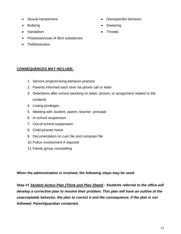- Sexual harassment
- Bullying
- Vandalism
- Possession/use of illicit substances
- Theft/extortion

## • Disrespectful behavior

- Swearing
- **Threats**

## **CONSEQUENCES MAY INCLUDE:**

- 1. Service project/caring behavior practice
- 2. Parents informed each time via phone call or letter
- 3. Detentions after school (working on letter, picture, or assignment related to the incident)
- 4. Losing privileges
- 5. Meeting with student, parent, teacher, principal
- 6. In-school suspension
- 7. Out-of-school suspension
- 8. Child phones home
- 9. Documentation on cum file and computer file
- 10.Police involvement if required
- 11.Family group counselling

**When the administration is involved, the following steps may be used:**

**Step #1** *Student Action Plan (Think and Plan Sheet) - Students referred to the office will develop a corrective plan to resolve their problem. This plan will have an outline of the unacceptable behavior, the plan to correct it and the consequence, if the plan is not followed. Parent/guardian contacted.*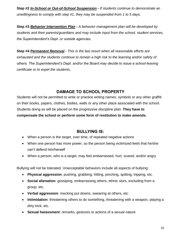**Step #2** *In-School or Out-of-School Suspension - If students continue to demonstrate an unwillingness to comply with step #1, they may be suspended from 1 to 5 days.* 

**Step #3** *Behavior Intervention Plan - A behavior management plan will be developed by students and their parents/guardians and may include input from the school, student services, the Superintendent's Dept. or outside agencies.* 

**Step #4** *Permanent Removal - This is the last resort when all reasonable efforts are exhausted and the students continue to remain a high risk to the learning and/or safety of others. The Superintendent's Dept. and/or the Board may decide to issue a school-leaving certificate or to expel the students.* 

# **DAMAGE TO SCHOOL PROPERTY**

<span id="page-16-0"></span>Students will not be permitted to write or practice writing names, symbols or any other graffiti on their books, papers, clothes, bodies, walls or any other place associated with the school. Students doing so will be placed on the progressive discipline plan. **They have to compensate the school or perform some form of restitution to make amends.**

# **BULLYING IS:**

- <span id="page-16-1"></span>When a person is the target, over time, of repeated negative actions
- When one person has more power, so the person being victimized feels that he/she can't defend him/herself
- When a person, who is a target, may feel embarrassed, hurt, scared, and/or angry

Bullying will not be tolerated. Unacceptable behaviors include all aspects of bullying:

- **Physical aggression**: pushing, grabbing, hitting, pinching, spitting, tripping, etc.
- **Social alienation**: gossiping, embarrassing others, ethnic slurs, excluding from a group, etc.
- **Verbal aggression**: mocking put downs, swearing at others, etc.
- **Intimidation**: threatening others to do something, threatening with a weapon, playing a dirty trick, etc.
- **Sexual harassment**: remarks, gestures or actions of a sexual nature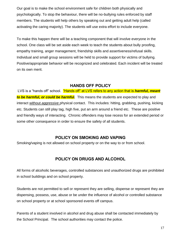Our goal is to make the school environment safe for children both physically and psychologically. To stop the behaviour, there will be no-bullying rules enforced by staff members. The students will help others by speaking out and getting adult help (called activating the caring majority). The students will use extra effort to include everyone.

To make this happen there will be a teaching component that will involve everyone in the school. One class will be set aside each week to teach the students about bully proofing, empathy training, anger management, friendship skills and assertiveness/refusal skills. Individual and small group sessions will be held to provide support for victims of bullying. Positive/appropriate behavior will be recognized and celebrated. Each incident will be treated on its own merit.

## **HANDS OFF POLICY**

<span id="page-17-0"></span>LVS is a "hands off" school. "Hands off" at LVS refers to any action that is *harmful, meant to be harmful, or could be harmful.* This means the students are expected to play and interact without *aggressive* physical contact. This includes: hitting, grabbing, pushing, kicking etc. Students can still play tag, high five, put an arm around a friend etc. These are positive and friendly ways of interacting. Chronic offenders may lose recess for an extended period or some other consequence in order to ensure the safety of all students.

## **POLICY ON SMOKING AND VAPING**

<span id="page-17-2"></span><span id="page-17-1"></span>Smoking/vaping is not allowed on school property or on the way to or from school.

# **POLICY ON DRUGS AND ALCOHOL**

All forms of alcoholic beverages, controlled substances and unauthorized drugs are prohibited in school buildings and on school property.

Students are not permitted to sell or represent they are selling, dispense or represent they are dispensing, possess, use, abuse or be under the influence of alcohol or controlled substance on school property or at school sponsored events off campus.

Parents of a student involved in alcohol and drug abuse shall be contacted immediately by the School Principal. The school authorities may contact the police.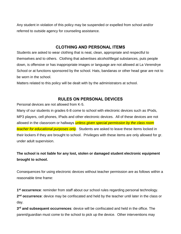Any student in violation of this policy may be suspended or expelled from school and/or referred to outside agency for counseling assistance.

## **CLOTHING AND PERSONAL ITEMS**

<span id="page-18-0"></span>Students are asked to wear clothing that is neat, clean, appropriate and respectful to themselves and to others. Clothing that advertises alcohol/illegal substances, puts people down, is offensive or has inappropriate images or language are not allowed at La Verendrye School or at functions sponsored by the school. Hats, bandanas or other head gear are not to be worn in the school.

Matters related to this policy will be dealt with by the administrators at school.

# **RULES ON PERSONAL DEVICES**

<span id="page-18-1"></span>Personal devices are not allowed from K-5.

Many of our students in grades 6-8 come to school with electronic devices such as IPods, MP3 players, cell phones, IPads and other electronic devices. All of these devices are not allowed in the classroom or hallways *unless given special permission by the class room teacher for educational purposes only*. Students are asked to leave these items locked in their lockers if they are brought to school. Privileges with these items are only allowed for gr. under adult supervision.

# **The school is not liable for any lost, stolen or damaged student electronic equipment brought to school.**

Consequences for using electronic devices without teacher permission are as follows within a reasonable time frame:

**1 st occurrence**: reminder from staff about our school rules regarding personal technology. **2 nd occurrence**: device may be confiscated and held by the teacher until later in the class or day.

**3 rd and subsequent occurrences**: device will be confiscated and held in the office. The parent/guardian must come to the school to pick up the device. Other interventions may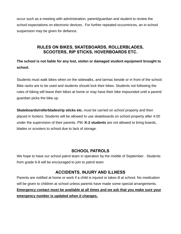occur such as a meeting with administration, parent/guardian and student to review the school expectations on electronic devices. For further repeated occurrences, an in-school suspension may be given for defiance.

# **RULES ON BIKES, SKATEBOARDS, ROLLERBLADES, SCOOTERS, RIP STICKS, HOVERBOARDS ETC.**

<span id="page-19-0"></span>**The school is not liable for any lost, stolen or damaged student equipment brought to school.**

Students must walk bikes when on the sidewalks, and tarmac beside or in front of the school. Bike racks are to be used and students should lock their bikes. Students not following the rules of biking will leave their bikes at home or may have their bike impounded until a parent/ guardian picks the bike up.

**Skateboards/rollerblades/rip sticks etc.** must be carried on school property and then placed in lockers. Students will be allowed to use skateboards on school property after 4:00 under the supervision of their parents. PM. **K-2 students** are not allowed to bring boards, blades or scooters to school due to lack of storage.

## **SCHOOL PATROLS**

<span id="page-19-1"></span>We hope to have our school patrol team in operation by the middle of September. Students from grade 6-8 will be encouraged to join to patrol team

# **ACCIDENTS, INJURY AND ILLNESS**

<span id="page-19-2"></span>Parents are notified at home or work if a child is injured or takes ill at school. No medication will be given to children at school unless parents have made some special arrangements.

# **Emergency contact must be available at all times and we ask that you make sure your emergency number is updated when it changes.**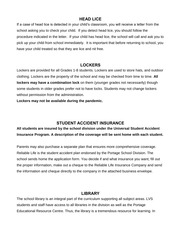## **HEAD LICE**

<span id="page-20-0"></span>If a case of head lice is detected in your child's classroom, you will receive a letter from the school asking you to check your child. If you detect head lice, you should follow the procedure indicated in the letter. If your child has head lice, the school will call and ask you to pick up your child from school immediately. It is important that before returning to school, you have your child treated so that they are lice and nit free.

# **LOCKERS**

<span id="page-20-1"></span>Lockers are provided for all Grades 1-8 students. Lockers are used to store hats, and outdoor clothing. Lockers are the property of the school and may be checked from time to time. **All lockers may have a combination lock** on them (younger grades not necessarily) though some students in older grades prefer not to have locks. Students may not change lockers without permission from the administration.

**Lockers may not be available during the pandemic.**

# **STUDENT ACCIDENT INSURANCE**

<span id="page-20-2"></span>**All students are insured by the school division under the Universal Student Accident Insurance Program. A description of the coverage will be sent home with each student.** 

Parents may also purchase a separate plan that ensures more comprehensive coverage. Reliable Life is the student accident plan endorsed by the Portage School Division. The school sends home the application form. You decide if and what insurance you want, fill out the proper information, make out a cheque to the Reliable Life Insurance Company and send the information and cheque directly to the company in the attached business envelope.

# **LIBRARY**

<span id="page-20-3"></span>The school library is an integral part of the curriculum supporting all subject areas. LVS students and staff have access to all libraries in the division as well as the Portage Educational Resource Centre. Thus, the library is a tremendous resource for learning. In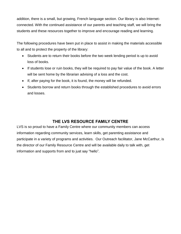addition, there is a small, but growing, French language section. Our library is also Internetconnected. With the continued assistance of our parents and teaching staff, we will bring the students and these resources together to improve and encourage reading and learning.

The following procedures have been put in place to assist in making the materials accessible to all and to protect the property of the library:

- Students are to return their books before the two week lending period is up to avoid loss of books.
- If students lose or ruin books, they will be required to pay fair value of the book. A letter will be sent home by the librarian advising of a loss and the cost.
- If, after paying for the book, it is found, the money will be refunded.
- Students borrow and return books through the established procedures to avoid errors and losses.

# **THE LVS RESOURCE FAMILY CENTRE**

<span id="page-21-0"></span>LVS is so proud to have a Family Centre where our community members can access information regarding community services, learn skills, get parenting assistance and participate in a variety of programs and activities. Our Outreach facilitator, Jane McCarthur, is the director of our Family Resource Centre and will be available daily to talk with, get information and supports from and to just say "hello".